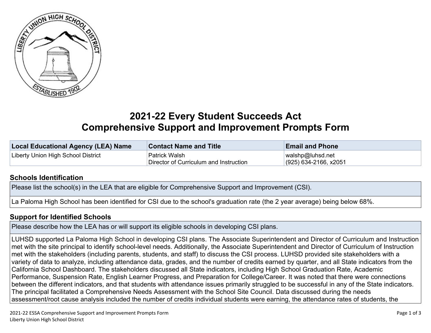

## **2021-22 Every Student Succeeds Act Comprehensive Support and Improvement Prompts Form**

| Local Educational Agency (LEA) Name | <b>Contact Name and Title</b>          | <b>Email and Phone</b> |
|-------------------------------------|----------------------------------------|------------------------|
| Liberty Union High School District  | Patrick Walsh                          | walshp@luhsd.net       |
|                                     | Director of Curriculum and Instruction | (925) 634-2166, x2051  |

## **Schools [Identification](http://www.doc-tracking.com/screenshots/20CSIPrompts/instructions.htm#SchoolIdentification)**

Please list the school(s) in the LEA that are eligible for Comprehensive Support and Improvement (CSI).

La Paloma High School has been identified for CSI due to the school's graduation rate (the 2 year average) being below 68%.

## **Support for [Identified](http://www.doc-tracking.com/screenshots/20CSIPrompts/instructions.htm#SupportforIdentifiedSchools) Schools**

Please describe how the LEA has or will support its eligible schools in developing CSI plans.

LUHSD supported La Paloma High School in developing CSI plans. The Associate Superintendent and Director of Curriculum and Instruction met with the site principal to identify school-level needs. Additionally, the Associate Superintendent and Director of Curriculum of Instruction met with the stakeholders (including parents, students, and staff) to discuss the CSI process. LUHSD provided site stakeholders with a variety of data to analyze, including attendance data, grades, and the number of credits earned by quarter, and all State indicators from the California School Dashboard. The stakeholders discussed all State indicators, including High School Graduation Rate, Academic Performance, Suspension Rate, English Learner Progress, and Preparation for College/Career. It was noted that there were connections between the different indicators, and that students with attendance issues primarily struggled to be successful in any of the State indicators. The principal facilitated a Comprehensive Needs Assessment with the School Site Council. Data discussed during the needs assessment/root cause analysis included the number of credits individual students were earning, the attendance rates of students, the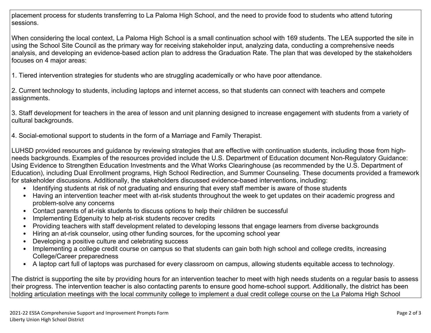placement process for students transferring to La Paloma High School, and the need to provide food to students who attend tutoring sessions.

When considering the local context, La Paloma High School is a small continuation school with 169 students. The LEA supported the site in using the School Site Council as the primary way for receiving stakeholder input, analyzing data, conducting a comprehensive needs analysis, and developing an evidence-based action plan to address the Graduation Rate. The plan that was developed by the stakeholders focuses on 4 major areas:

1. Tiered intervention strategies for students who are struggling academically or who have poor attendance.

2. Current technology to students, including laptops and internet access, so that students can connect with teachers and compete assignments.

3. Staff development for teachers in the area of lesson and unit planning designed to increase engagement with students from a variety of cultural backgrounds.

4. Social-emotional support to students in the form of a Marriage and Family Therapist.

LUHSD provided resources and guidance by reviewing strategies that are effective with continuation students, including those from highneeds backgrounds. Examples of the resources provided include the U.S. Department of Education document Non-Regulatory Guidance: Using Evidence to Strengthen Education Investments and the What Works Clearinghouse (as recommended by the U.S. Department of Education), including Dual Enrollment programs, High School Redirection, and Summer Counseling. These documents provided a framework for stakeholder discussions. Additionally, the stakeholders discussed evidence-based interventions, including:

- Identifying students at risk of not graduating and ensuring that every staff member is aware of those students
- Having an intervention teacher meet with at-risk students throughout the week to get updates on their academic progress and problem-solve any concerns
- Contact parents of at-risk students to discuss options to help their children be successful
- Implementing Edgenuity to help at-risk students recover credits
- Providing teachers with staff development related to developing lessons that engage learners from diverse backgrounds
- Hiring an at-risk counselor, using other funding sources, for the upcoming school year
- Developing a positive culture and celebrating success
- Implementing a college credit course on campus so that students can gain both high school and college credits, increasing College/Career preparedness
- A laptop cart full of laptops was purchased for every classroom on campus, allowing students equitable access to technology.

The district is supporting the site by providing hours for an intervention teacher to meet with high needs students on a regular basis to assess their progress. The intervention teacher is also contacting parents to ensure good home-school support. Additionally, the district has been holding articulation meetings with the local community college to implement a dual credit college course on the La Paloma High School